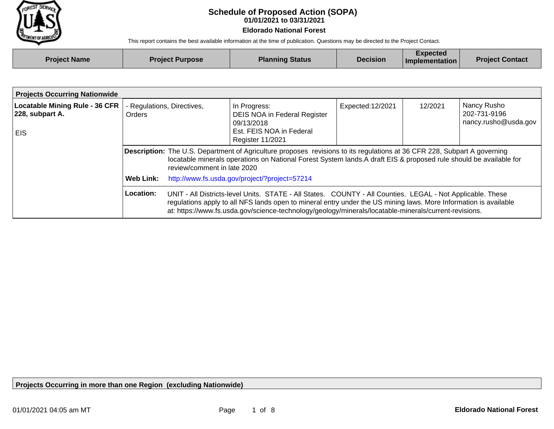

## **01/01/2021 to 03/31/2021 Schedule of Proposed Action (SOPA)**

**Eldorado National Forest**

This report contains the best available information at the time of publication. Questions may be directed to the Project Contact.

| <b>Project Name</b> | <b>Project Purpose</b> | <b>Planning Status</b> | <b>Decision</b> | Expected<br>Implementation | <b>Project Contact</b> |
|---------------------|------------------------|------------------------|-----------------|----------------------------|------------------------|
|                     |                        |                        |                 |                            |                        |

| <b>Projects Occurring Nationwide</b>                             |                                                                                                                                                                                                                                                                                                                                                      |  |                                                                                                                   |                  |         |                                                     |
|------------------------------------------------------------------|------------------------------------------------------------------------------------------------------------------------------------------------------------------------------------------------------------------------------------------------------------------------------------------------------------------------------------------------------|--|-------------------------------------------------------------------------------------------------------------------|------------------|---------|-----------------------------------------------------|
| <b>Locatable Mining Rule - 36 CFR</b><br>228, subpart A.<br>EIS. | Regulations, Directives,<br><b>Orders</b>                                                                                                                                                                                                                                                                                                            |  | In Progress:<br><b>DEIS NOA in Federal Register</b><br>09/13/2018<br>Est. FEIS NOA in Federal<br>Register 11/2021 | Expected:12/2021 | 12/2021 | Nancy Rusho<br>202-731-9196<br>nancy.rusho@usda.gov |
|                                                                  | Description: The U.S. Department of Agriculture proposes revisions to its regulations at 36 CFR 228, Subpart A governing<br>locatable minerals operations on National Forest System lands. A draft EIS & proposed rule should be available for<br>review/comment in late 2020                                                                        |  |                                                                                                                   |                  |         |                                                     |
|                                                                  | Web Link:                                                                                                                                                                                                                                                                                                                                            |  | http://www.fs.usda.gov/project/?project=57214                                                                     |                  |         |                                                     |
|                                                                  | Location:<br>UNIT - All Districts-level Units. STATE - All States. COUNTY - All Counties. LEGAL - Not Applicable. These<br>regulations apply to all NFS lands open to mineral entry under the US mining laws. More Information is available<br>at: https://www.fs.usda.gov/science-technology/geology/minerals/locatable-minerals/current-revisions. |  |                                                                                                                   |                  |         |                                                     |

**Projects Occurring in more than one Region (excluding Nationwide)**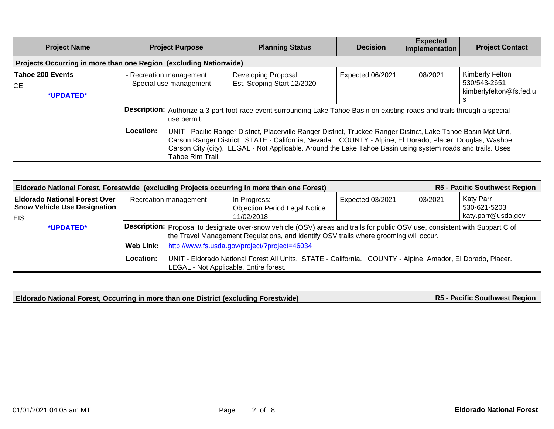| <b>Project Name</b>                                               | <b>Project Purpose</b>                                                                                                                                                                                                                                                                                                                                                                                                                                                                                                     | <b>Planning Status</b>                                   | <b>Decision</b>  | <b>Expected</b><br>Implementation | <b>Project Contact</b>                                     |  |  |  |
|-------------------------------------------------------------------|----------------------------------------------------------------------------------------------------------------------------------------------------------------------------------------------------------------------------------------------------------------------------------------------------------------------------------------------------------------------------------------------------------------------------------------------------------------------------------------------------------------------------|----------------------------------------------------------|------------------|-----------------------------------|------------------------------------------------------------|--|--|--|
| Projects Occurring in more than one Region (excluding Nationwide) |                                                                                                                                                                                                                                                                                                                                                                                                                                                                                                                            |                                                          |                  |                                   |                                                            |  |  |  |
| Tahoe 200 Events<br>CE<br>*UPDATED*                               | - Recreation management<br>- Special use management                                                                                                                                                                                                                                                                                                                                                                                                                                                                        | <b>Developing Proposal</b><br>Est. Scoping Start 12/2020 | Expected:06/2021 | 08/2021                           | Kimberly Felton<br>530/543-2651<br>kimberlyfelton@fs.fed.u |  |  |  |
|                                                                   | Description: Authorize a 3-part foot-race event surrounding Lake Tahoe Basin on existing roads and trails through a special<br>use permit.<br>Location:<br>UNIT - Pacific Ranger District, Placerville Ranger District, Truckee Ranger District, Lake Tahoe Basin Mgt Unit,<br>Carson Ranger District. STATE - California, Nevada. COUNTY - Alpine, El Dorado, Placer, Douglas, Washoe,<br>Carson City (city). LEGAL - Not Applicable. Around the Lake Tahoe Basin using system roads and trails. Uses<br>Tahoe Rim Trail. |                                                          |                  |                                   |                                                            |  |  |  |

| R5 - Pacific Southwest Region<br>Eldorado National Forest, Forestwide (excluding Projects occurring in more than one Forest) |                                                                                                                                                                   |                                                                                                                                                                                                                       |                                                      |                  |                                                            |  |  |
|------------------------------------------------------------------------------------------------------------------------------|-------------------------------------------------------------------------------------------------------------------------------------------------------------------|-----------------------------------------------------------------------------------------------------------------------------------------------------------------------------------------------------------------------|------------------------------------------------------|------------------|------------------------------------------------------------|--|--|
| <b>Eldorado National Forest Over</b><br><b>Snow Vehicle Use Designation</b>                                                  | - Recreation management                                                                                                                                           |                                                                                                                                                                                                                       | In Progress:<br><b>Objection Period Legal Notice</b> | Expected:03/2021 | Katy Parr<br>03/2021<br>530-621-5203<br>katy.parr@usda.gov |  |  |
| <b>EIS</b>                                                                                                                   |                                                                                                                                                                   |                                                                                                                                                                                                                       | 11/02/2018                                           |                  |                                                            |  |  |
| *UPDATED*                                                                                                                    |                                                                                                                                                                   | Description: Proposal to designate over-snow vehicle (OSV) areas and trails for public OSV use, consistent with Subpart C of<br>the Travel Management Regulations, and identify OSV trails where grooming will occur. |                                                      |                  |                                                            |  |  |
|                                                                                                                              | Web Link:                                                                                                                                                         | http://www.fs.usda.gov/project/?project=46034                                                                                                                                                                         |                                                      |                  |                                                            |  |  |
|                                                                                                                              | Location:<br>UNIT - Eldorado National Forest All Units. STATE - California. COUNTY - Alpine, Amador, El Dorado, Placer.<br>LEGAL - Not Applicable. Entire forest. |                                                                                                                                                                                                                       |                                                      |                  |                                                            |  |  |

**Eldorado National Forest, Occurring in more than one District (excluding Forestwide)**

**R5 - Pacific Southwest Region**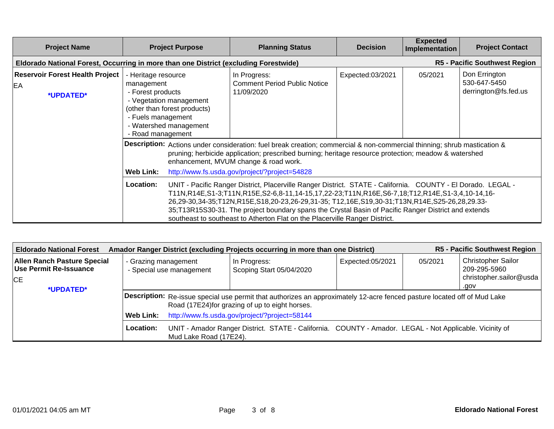| <b>Project Name</b>                                                                  |                                                                                                                                                                                                                                                                                                                                                                                                                                                                                                                   | <b>Project Purpose</b>                                                                                                                                                                                                                                                                                                     | <b>Planning Status</b>                                            | <b>Decision</b>  | <b>Expected</b><br>Implementation | <b>Project Contact</b>                                |  |
|--------------------------------------------------------------------------------------|-------------------------------------------------------------------------------------------------------------------------------------------------------------------------------------------------------------------------------------------------------------------------------------------------------------------------------------------------------------------------------------------------------------------------------------------------------------------------------------------------------------------|----------------------------------------------------------------------------------------------------------------------------------------------------------------------------------------------------------------------------------------------------------------------------------------------------------------------------|-------------------------------------------------------------------|------------------|-----------------------------------|-------------------------------------------------------|--|
| Eldorado National Forest, Occurring in more than one District (excluding Forestwide) |                                                                                                                                                                                                                                                                                                                                                                                                                                                                                                                   |                                                                                                                                                                                                                                                                                                                            |                                                                   |                  |                                   | R5 - Pacific Southwest Region                         |  |
| <b>Reservoir Forest Health Project</b><br>EA<br>*UPDATED*                            | - Heritage resource<br>management<br>- Forest products<br>- Fuels management<br>- Road management                                                                                                                                                                                                                                                                                                                                                                                                                 | - Vegetation management<br>(other than forest products)<br>- Watershed management                                                                                                                                                                                                                                          | In Progress:<br><b>Comment Period Public Notice</b><br>11/09/2020 | Expected:03/2021 | 05/2021                           | Don Errington<br>530-647-5450<br>derrington@fs.fed.us |  |
|                                                                                      | <b>Web Link:</b>                                                                                                                                                                                                                                                                                                                                                                                                                                                                                                  | Description: Actions under consideration: fuel break creation; commercial & non-commercial thinning; shrub mastication &<br>pruning; herbicide application; prescribed burning; heritage resource protection; meadow & watershed<br>enhancement, MVUM change & road work.<br>http://www.fs.usda.gov/project/?project=54828 |                                                                   |                  |                                   |                                                       |  |
|                                                                                      | Location:<br>UNIT - Pacific Ranger District, Placerville Ranger District. STATE - California. COUNTY - El Dorado. LEGAL -<br>T11N,R14E,S1-3;T11N,R15E,S2-6,8-11,14-15,17,22-23;T11N,R16E,S6-7,18;T12,R14E,S1-3,4,10-14,16-<br>26,29-30,34-35;T12N,R15E,S18,20-23,26-29,31-35; T12,16E,S19,30-31;T13N,R14E,S25-26,28,29.33-<br>35;T13R15S30-31. The project boundary spans the Crystal Basin of Pacific Ranger District and extends<br>southeast to southeast to Atherton Flat on the Placerville Ranger District. |                                                                                                                                                                                                                                                                                                                            |                                                                   |                  |                                   |                                                       |  |

| <b>R5 - Pacific Southwest Region</b><br>Amador Ranger District (excluding Projects occurring in more than one District)<br><b>Eldorado National Forest</b> |                                                                                                                      |                                                                                                                          |                                                 |                  |         |                                                                      |  |  |
|------------------------------------------------------------------------------------------------------------------------------------------------------------|----------------------------------------------------------------------------------------------------------------------|--------------------------------------------------------------------------------------------------------------------------|-------------------------------------------------|------------------|---------|----------------------------------------------------------------------|--|--|
| <b>Allen Ranch Pasture Special</b><br>Use Permit Re-Issuance<br><b>CE</b>                                                                                  | - Grazing management<br>- Special use management                                                                     |                                                                                                                          | In Progress:<br>Scoping Start 05/04/2020        | Expected:05/2021 | 05/2021 | <b>Christopher Sailor</b><br>209-295-5960<br>christopher.sailor@usda |  |  |
| *UPDATED*                                                                                                                                                  |                                                                                                                      |                                                                                                                          |                                                 |                  |         | .gov                                                                 |  |  |
|                                                                                                                                                            |                                                                                                                      | Description: Re-issue special use permit that authorizes an approximately 12-acre fenced pasture located off of Mud Lake |                                                 |                  |         |                                                                      |  |  |
|                                                                                                                                                            |                                                                                                                      |                                                                                                                          | Road (17E24) for grazing of up to eight horses. |                  |         |                                                                      |  |  |
|                                                                                                                                                            | Web Link:                                                                                                            | http://www.fs.usda.gov/project/?project=58144                                                                            |                                                 |                  |         |                                                                      |  |  |
|                                                                                                                                                            | Location:<br>UNIT - Amador Ranger District. STATE - California. COUNTY - Amador. LEGAL - Not Applicable. Vicinity of |                                                                                                                          |                                                 |                  |         |                                                                      |  |  |
|                                                                                                                                                            |                                                                                                                      | Mud Lake Road (17E24).                                                                                                   |                                                 |                  |         |                                                                      |  |  |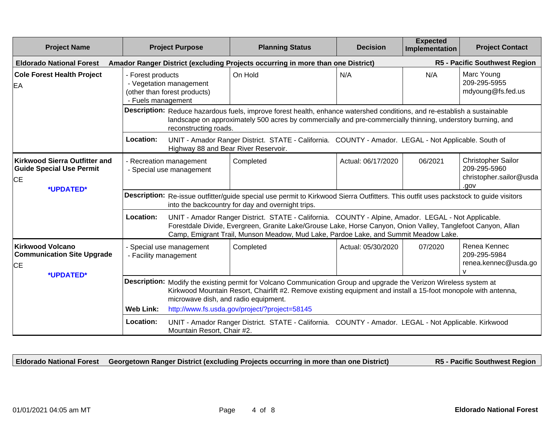| <b>Project Name</b>                                                                    |                                                                                                                                                                                                                                                                              | <b>Project Purpose</b>                                                                                                                                                                                                                                                                                     | <b>Planning Status</b>                                                                               | <b>Decision</b>    | <b>Expected</b><br>Implementation | <b>Project Contact</b>                                                |  |
|----------------------------------------------------------------------------------------|------------------------------------------------------------------------------------------------------------------------------------------------------------------------------------------------------------------------------------------------------------------------------|------------------------------------------------------------------------------------------------------------------------------------------------------------------------------------------------------------------------------------------------------------------------------------------------------------|------------------------------------------------------------------------------------------------------|--------------------|-----------------------------------|-----------------------------------------------------------------------|--|
| <b>Eldorado National Forest</b>                                                        |                                                                                                                                                                                                                                                                              |                                                                                                                                                                                                                                                                                                            | Amador Ranger District (excluding Projects occurring in more than one District)                      |                    |                                   | R5 - Pacific Southwest Region                                         |  |
| <b>Cole Forest Health Project</b><br>EA                                                | - Forest products<br>- Vegetation management<br>(other than forest products)<br>- Fuels management                                                                                                                                                                           |                                                                                                                                                                                                                                                                                                            | On Hold                                                                                              | N/A                | N/A                               | Marc Young<br>209-295-5955<br>mdyoung@fs.fed.us                       |  |
|                                                                                        | reconstructing roads.                                                                                                                                                                                                                                                        | Description: Reduce hazardous fuels, improve forest health, enhance watershed conditions, and re-establish a sustainable<br>landscape on approximately 500 acres by commercially and pre-commercially thinning, understory burning, and                                                                    |                                                                                                      |                    |                                   |                                                                       |  |
|                                                                                        | Location:                                                                                                                                                                                                                                                                    | Highway 88 and Bear River Reservoir.                                                                                                                                                                                                                                                                       | UNIT - Amador Ranger District. STATE - California. COUNTY - Amador. LEGAL - Not Applicable. South of |                    |                                   |                                                                       |  |
| <b>Kirkwood Sierra Outfitter and</b><br><b>Guide Special Use Permit</b><br><b>ICE</b>  | - Recreation management                                                                                                                                                                                                                                                      | - Special use management                                                                                                                                                                                                                                                                                   | Completed                                                                                            | Actual: 06/17/2020 | 06/2021                           | Christopher Sailor<br>209-295-5960<br>christopher.sailor@usda<br>vop. |  |
| *UPDATED*                                                                              | Description: Re-issue outfitter/guide special use permit to Kirkwood Sierra Outfitters. This outfit uses packstock to guide visitors<br>into the backcountry for day and overnight trips.                                                                                    |                                                                                                                                                                                                                                                                                                            |                                                                                                      |                    |                                   |                                                                       |  |
|                                                                                        | Location:                                                                                                                                                                                                                                                                    | UNIT - Amador Ranger District. STATE - California. COUNTY - Alpine, Amador. LEGAL - Not Applicable.<br>Forestdale Divide, Evergreen, Granite Lake/Grouse Lake, Horse Canyon, Onion Valley, Tanglefoot Canyon, Allan<br>Camp, Emigrant Trail, Munson Meadow, Mud Lake, Pardoe Lake, and Summit Meadow Lake. |                                                                                                      |                    |                                   |                                                                       |  |
| <b>Kirkwood Volcano</b><br><b>Communication Site Upgrade</b><br><b>CE</b><br>*UPDATED* | - Special use management<br>- Facility management                                                                                                                                                                                                                            |                                                                                                                                                                                                                                                                                                            | Completed                                                                                            | Actual: 05/30/2020 | 07/2020                           | Renea Kennec<br>209-295-5984<br>renea.kennec@usda.go<br>$\mathbf{v}$  |  |
|                                                                                        | Description: Modify the existing permit for Volcano Communication Group and upgrade the Verizon Wireless system at<br>Kirkwood Mountain Resort, Chairlift #2. Remove existing equipment and install a 15-foot monopole with antenna,<br>microwave dish, and radio equipment. |                                                                                                                                                                                                                                                                                                            |                                                                                                      |                    |                                   |                                                                       |  |
|                                                                                        | <b>Web Link:</b>                                                                                                                                                                                                                                                             |                                                                                                                                                                                                                                                                                                            | http://www.fs.usda.gov/project/?project=58145                                                        |                    |                                   |                                                                       |  |
|                                                                                        | Location:                                                                                                                                                                                                                                                                    | Mountain Resort, Chair #2.                                                                                                                                                                                                                                                                                 | UNIT - Amador Ranger District. STATE - California. COUNTY - Amador. LEGAL - Not Applicable. Kirkwood |                    |                                   |                                                                       |  |

**Eldorado National Forest Georgetown Ranger District (excluding Projects occurring in more than one District)**

**R5 - Pacific Southwest Region**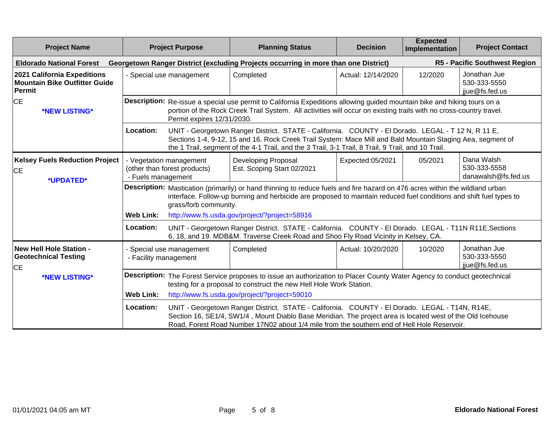| <b>Project Name</b>                                                                  | <b>Project Purpose</b> |                                                                                                                                                                                                                                                                                                             | <b>Planning Status</b>                                                                                                                                                                                                                                                                                                  | <b>Decision</b>    | <b>Expected</b><br>Implementation | <b>Project Contact</b>                            |  |
|--------------------------------------------------------------------------------------|------------------------|-------------------------------------------------------------------------------------------------------------------------------------------------------------------------------------------------------------------------------------------------------------------------------------------------------------|-------------------------------------------------------------------------------------------------------------------------------------------------------------------------------------------------------------------------------------------------------------------------------------------------------------------------|--------------------|-----------------------------------|---------------------------------------------------|--|
| <b>Eldorado National Forest</b>                                                      |                        |                                                                                                                                                                                                                                                                                                             | Georgetown Ranger District (excluding Projects occurring in more than one District)                                                                                                                                                                                                                                     |                    |                                   | R5 - Pacific Southwest Region                     |  |
| 2021 California Expeditions<br><b>Mountain Bike Outfitter Guide</b><br><b>Permit</b> |                        | - Special use management                                                                                                                                                                                                                                                                                    | Completed                                                                                                                                                                                                                                                                                                               | Actual: 12/14/2020 | 12/2020                           | Jonathan Jue<br>530-333-5550<br>jiue@fs.fed.us    |  |
| IСE<br>*NEW LISTING*                                                                 |                        | Permit expires 12/31/2030.                                                                                                                                                                                                                                                                                  | Description: Re-issue a special use permit to California Expeditions allowing guided mountain bike and hiking tours on a<br>portion of the Rock Creek Trail System. All activities will occur on existing trails with no cross-country travel.                                                                          |                    |                                   |                                                   |  |
|                                                                                      | Location:              |                                                                                                                                                                                                                                                                                                             | UNIT - Georgetown Ranger District. STATE - California. COUNTY - El Dorado. LEGAL - T 12 N, R 11 E,<br>Sections 1-4, 9-12, 15 and 16. Rock Creek Trail System: Mace Mill and Bald Mountain Staging Aea, segment of<br>the 1 Trail, segment of the 4-1 Trail, and the 3 Trail, 3-1 Trail, 8 Trail, 9 Trail, and 10 Trail. |                    |                                   |                                                   |  |
| <b>Kelsey Fuels Reduction Project</b><br><b>ICE</b><br>*UPDATED*                     | - Fuels management     | - Vegetation management<br>(other than forest products)                                                                                                                                                                                                                                                     | Developing Proposal<br>Est. Scoping Start 02/2021                                                                                                                                                                                                                                                                       | Expected:05/2021   | 05/2021                           | Dana Walsh<br>530-333-5558<br>danawalsh@fs.fed.us |  |
|                                                                                      |                        | grass/forb community.                                                                                                                                                                                                                                                                                       | Description: Mastication (primarily) or hand thinning to reduce fuels and fire hazard on 476 acres within the wildland urban<br>interface. Follow-up burning and herbicide are proposed to maintain reduced fuel conditions and shift fuel types to                                                                     |                    |                                   |                                                   |  |
|                                                                                      | <b>Web Link:</b>       |                                                                                                                                                                                                                                                                                                             | http://www.fs.usda.gov/project/?project=58916                                                                                                                                                                                                                                                                           |                    |                                   |                                                   |  |
|                                                                                      | Location:              | UNIT - Georgetown Ranger District. STATE - California. COUNTY - El Dorado. LEGAL - T11N R11E, Sections<br>6, 18, and 19. MDB&M. Traverse Creek Road and Shoo Fly Road Vicinity in Kelsey, CA.                                                                                                               |                                                                                                                                                                                                                                                                                                                         |                    |                                   |                                                   |  |
| <b>New Hell Hole Station -</b><br><b>Geotechnical Testing</b><br>IСE                 | - Facility management  | - Special use management                                                                                                                                                                                                                                                                                    | Completed                                                                                                                                                                                                                                                                                                               | Actual: 10/20/2020 | 10/2020                           | Jonathan Jue<br>530-333-5550<br>jiue@fs.fed.us    |  |
| *NEW LISTING*                                                                        |                        |                                                                                                                                                                                                                                                                                                             | Description: The Forest Service proposes to issue an authorization to Placer County Water Agency to conduct geotechnical<br>testing for a proposal to construct the new Hell Hole Work Station.                                                                                                                         |                    |                                   |                                                   |  |
|                                                                                      | <b>Web Link:</b>       |                                                                                                                                                                                                                                                                                                             | http://www.fs.usda.gov/project/?project=59010                                                                                                                                                                                                                                                                           |                    |                                   |                                                   |  |
|                                                                                      | Location:              | UNIT - Georgetown Ranger District. STATE - California. COUNTY - El Dorado. LEGAL - T14N, R14E,<br>Section 16, SE1/4, SW1/4, Mount Diablo Base Meridian. The project area is located west of the Old Icehouse<br>Road, Forest Road Number 17N02 about 1/4 mile from the southern end of Hell Hole Reservoir. |                                                                                                                                                                                                                                                                                                                         |                    |                                   |                                                   |  |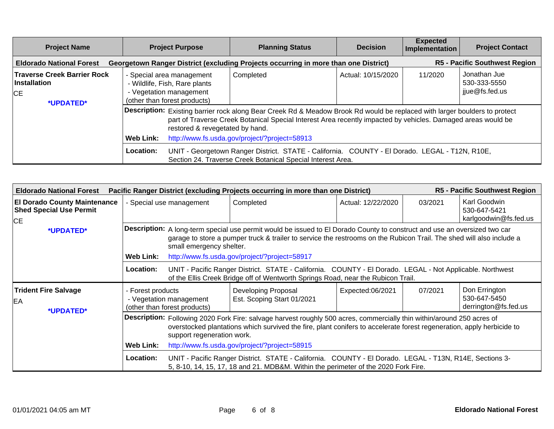| <b>Project Name</b>                                                                                                                                            | <b>Project Purpose</b>                                                                                                                                                                                                                                                                     | <b>Planning Status</b> | <b>Decision</b>    | <b>Expected</b><br>Implementation | <b>Project Contact</b>                         |  |  |  |
|----------------------------------------------------------------------------------------------------------------------------------------------------------------|--------------------------------------------------------------------------------------------------------------------------------------------------------------------------------------------------------------------------------------------------------------------------------------------|------------------------|--------------------|-----------------------------------|------------------------------------------------|--|--|--|
| <b>R5 - Pacific Southwest Region</b><br>Georgetown Ranger District (excluding Projects occurring in more than one District)<br><b>Eldorado National Forest</b> |                                                                                                                                                                                                                                                                                            |                        |                    |                                   |                                                |  |  |  |
| <b>Traverse Creek Barrier Rock</b><br><b>Installation</b><br><b>CE</b><br>*UPDATED*                                                                            | - Special area management<br>- Wildlife, Fish, Rare plants<br>- Vegetation management<br>(other than forest products)                                                                                                                                                                      | Completed              | Actual: 10/15/2020 | 11/2020                           | Jonathan Jue<br>530-333-5550<br>jjue@fs.fed.us |  |  |  |
|                                                                                                                                                                | Description: Existing barrier rock along Bear Creek Rd & Meadow Brook Rd would be replaced with larger boulders to protect<br>part of Traverse Creek Botanical Special Interest Area recently impacted by vehicles. Damaged areas would be<br>restored & revegetated by hand.<br>Web Link: |                        |                    |                                   |                                                |  |  |  |
|                                                                                                                                                                | http://www.fs.usda.gov/project/?project=58913<br>Location:<br>UNIT - Georgetown Ranger District. STATE - California. COUNTY - El Dorado. LEGAL - T12N, R10E,<br>Section 24. Traverse Creek Botanical Special Interest Area.                                                                |                        |                    |                                   |                                                |  |  |  |

| <b>Eldorado National Forest</b>                                             | R5 - Pacific Southwest Region<br>Pacific Ranger District (excluding Projects occurring in more than one District)                                                                                                                                                                                                                                  |                                                                                                                                                                                                                                                                                                                                |                                                                                                                                                                                               |                    |         |                                                       |  |  |
|-----------------------------------------------------------------------------|----------------------------------------------------------------------------------------------------------------------------------------------------------------------------------------------------------------------------------------------------------------------------------------------------------------------------------------------------|--------------------------------------------------------------------------------------------------------------------------------------------------------------------------------------------------------------------------------------------------------------------------------------------------------------------------------|-----------------------------------------------------------------------------------------------------------------------------------------------------------------------------------------------|--------------------|---------|-------------------------------------------------------|--|--|
| <b>El Dorado County Maintenance</b><br><b>Shed Special Use Permit</b><br>CE | - Special use management                                                                                                                                                                                                                                                                                                                           |                                                                                                                                                                                                                                                                                                                                | Completed                                                                                                                                                                                     | Actual: 12/22/2020 | 03/2021 | Karl Goodwin<br>530-647-5421<br>karlgoodwin@fs.fed.us |  |  |
| *UPDATED*                                                                   | <b>Web Link:</b>                                                                                                                                                                                                                                                                                                                                   | Description: A long-term special use permit would be issued to El Dorado County to construct and use an oversized two car<br>garage to store a pumper truck & trailer to service the restrooms on the Rubicon Trail. The shed will also include a<br>small emergency shelter.<br>http://www.fs.usda.gov/project/?project=58917 |                                                                                                                                                                                               |                    |         |                                                       |  |  |
|                                                                             | Location:                                                                                                                                                                                                                                                                                                                                          |                                                                                                                                                                                                                                                                                                                                | UNIT - Pacific Ranger District. STATE - California. COUNTY - El Dorado. LEGAL - Not Applicable. Northwest<br>of the Ellis Creek Bridge off of Wentworth Springs Road, near the Rubicon Trail. |                    |         |                                                       |  |  |
| <b>Trident Fire Salvage</b><br>EA<br>*UPDATED*                              | - Forest products                                                                                                                                                                                                                                                                                                                                  | - Vegetation management<br>(other than forest products)                                                                                                                                                                                                                                                                        | Developing Proposal<br>Est. Scoping Start 01/2021                                                                                                                                             | Expected:06/2021   | 07/2021 | Don Errington<br>530-647-5450<br>derrington@fs.fed.us |  |  |
|                                                                             | Description: Following 2020 Fork Fire: salvage harvest roughly 500 acres, commercially thin within/around 250 acres of<br>overstocked plantations which survived the fire, plant conifers to accelerate forest regeneration, apply herbicide to<br>support regeneration work.<br><b>Web Link:</b><br>http://www.fs.usda.gov/project/?project=58915 |                                                                                                                                                                                                                                                                                                                                |                                                                                                                                                                                               |                    |         |                                                       |  |  |
|                                                                             | Location:                                                                                                                                                                                                                                                                                                                                          |                                                                                                                                                                                                                                                                                                                                | UNIT - Pacific Ranger District. STATE - California. COUNTY - El Dorado. LEGAL - T13N, R14E, Sections 3-<br>5, 8-10, 14, 15, 17, 18 and 21. MDB&M. Within the perimeter of the 2020 Fork Fire. |                    |         |                                                       |  |  |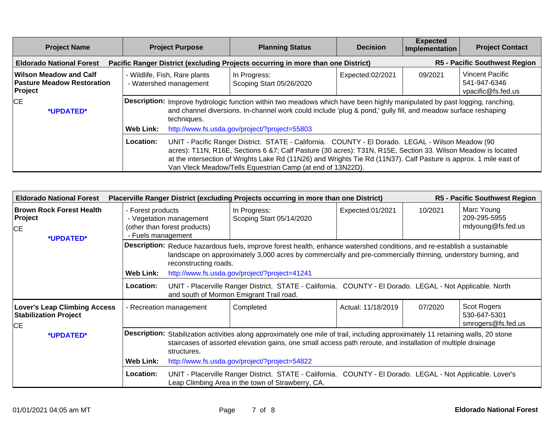| <b>Project Name</b>                                                           | <b>Project Purpose</b> |                                                                                                                                                                                                                                                                                                                                                                                                      | <b>Planning Status</b>                                                           | <b>Decision</b>  | <b>Expected</b><br>Implementation | <b>Project Contact</b>                                       |  |
|-------------------------------------------------------------------------------|------------------------|------------------------------------------------------------------------------------------------------------------------------------------------------------------------------------------------------------------------------------------------------------------------------------------------------------------------------------------------------------------------------------------------------|----------------------------------------------------------------------------------|------------------|-----------------------------------|--------------------------------------------------------------|--|
| <b>Eldorado National Forest</b>                                               |                        |                                                                                                                                                                                                                                                                                                                                                                                                      | Pacific Ranger District (excluding Projects occurring in more than one District) |                  |                                   | <b>R5 - Pacific Southwest Region</b>                         |  |
| <b>Wilson Meadow and Calf</b><br><b>Pasture Meadow Restoration</b><br>Project |                        | - Wildlife, Fish, Rare plants<br>- Watershed management                                                                                                                                                                                                                                                                                                                                              | In Progress:<br>Scoping Start 05/26/2020                                         | Expected:02/2021 | 09/2021                           | <b>Vincent Pacific</b><br>541-947-6346<br>vpacific@fs.fed.us |  |
| <b>CE</b><br>*UPDATED*                                                        |                        | Description: Improve hydrologic function within two meadows which have been highly manipulated by past logging, ranching,<br>and channel diversions. In-channel work could include 'plug & pond,' gully fill, and meadow surface reshaping<br>techniques.                                                                                                                                            |                                                                                  |                  |                                   |                                                              |  |
|                                                                               | Web Link:              |                                                                                                                                                                                                                                                                                                                                                                                                      | http://www.fs.usda.gov/project/?project=55803                                    |                  |                                   |                                                              |  |
|                                                                               | Location:              | UNIT - Pacific Ranger District. STATE - California. COUNTY - El Dorado. LEGAL - Wilson Meadow (90<br>acres): T11N, R16E, Sections 6 &7; Calf Pasture (30 acres): T31N, R15E, Section 33. Wilson Meadow is located<br>at the intersection of Wrights Lake Rd (11N26) and Wrights Tie Rd (11N37). Calf Pasture is approx. 1 mile east of<br>Van Vleck Meadow/Tells Equestrian Camp (at end of 13N22D). |                                                                                  |                  |                                   |                                                              |  |

| R5 - Pacific Southwest Region<br><b>Eldorado National Forest</b><br>Placerville Ranger District (excluding Projects occurring in more than one District) |                                                                                                                                                                                                                                                                                                                                       |                                                                                                                                                                                                                                                                                                                     |                                                                                                                                                                  |                    |         |                                                   |  |
|----------------------------------------------------------------------------------------------------------------------------------------------------------|---------------------------------------------------------------------------------------------------------------------------------------------------------------------------------------------------------------------------------------------------------------------------------------------------------------------------------------|---------------------------------------------------------------------------------------------------------------------------------------------------------------------------------------------------------------------------------------------------------------------------------------------------------------------|------------------------------------------------------------------------------------------------------------------------------------------------------------------|--------------------|---------|---------------------------------------------------|--|
| <b>Brown Rock Forest Health</b><br>Project<br>CE<br>*UPDATED*                                                                                            | - Forest products<br>- Vegetation management<br>(other than forest products)<br>- Fuels management                                                                                                                                                                                                                                    |                                                                                                                                                                                                                                                                                                                     | In Progress:<br>Scoping Start 05/14/2020                                                                                                                         | Expected:01/2021   | 10/2021 | Marc Young<br>209-295-5955<br>mdyoung@fs.fed.us   |  |
|                                                                                                                                                          | <b>Web Link:</b>                                                                                                                                                                                                                                                                                                                      | Description: Reduce hazardous fuels, improve forest health, enhance watershed conditions, and re-establish a sustainable<br>landscape on approximately 3,000 acres by commercially and pre-commercially thinning, understory burning, and<br>reconstructing roads.<br>http://www.fs.usda.gov/project/?project=41241 |                                                                                                                                                                  |                    |         |                                                   |  |
|                                                                                                                                                          | <b>Location:</b>                                                                                                                                                                                                                                                                                                                      |                                                                                                                                                                                                                                                                                                                     | UNIT - Placerville Ranger District. STATE - California. COUNTY - El Dorado. LEGAL - Not Applicable. North<br>and south of Mormon Emigrant Trail road.            |                    |         |                                                   |  |
| <b>Lover's Leap Climbing Access</b><br><b>Stabilization Project</b><br><b>CE</b>                                                                         | - Recreation management                                                                                                                                                                                                                                                                                                               |                                                                                                                                                                                                                                                                                                                     | Completed                                                                                                                                                        | Actual: 11/18/2019 | 07/2020 | Scot Rogers<br>530-647-5301<br>smrogers@fs.fed.us |  |
| *UPDATED*                                                                                                                                                | Description: Stabilization activities along approximately one mile of trail, including approximately 11 retaining walls, 20 stone<br>staircases of assorted elevation gains, one small access path reroute, and installation of multiple drainage<br>structures.<br><b>Web Link:</b><br>http://www.fs.usda.gov/project/?project=54822 |                                                                                                                                                                                                                                                                                                                     |                                                                                                                                                                  |                    |         |                                                   |  |
|                                                                                                                                                          | Location:                                                                                                                                                                                                                                                                                                                             |                                                                                                                                                                                                                                                                                                                     | UNIT - Placerville Ranger District. STATE - California. COUNTY - El Dorado. LEGAL - Not Applicable. Lover's<br>Leap Climbing Area in the town of Strawberry, CA. |                    |         |                                                   |  |